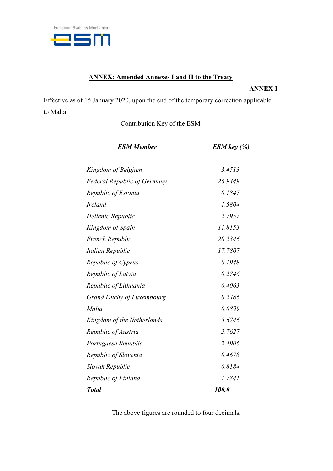

## **ANNEX: Amended Annexes I and II to the Treaty**

## **ANNEX I**

Effective as of 15 January 2020, upon the end of the temporary correction applicable to Malta.

Contribution Key of the ESM

| <b>ESM Member</b>                  | $ESM$ key $(\%)$ |
|------------------------------------|------------------|
| Kingdom of Belgium                 | 3.4513           |
| <b>Federal Republic of Germany</b> | 26.9449          |
| Republic of Estonia                | 0.1847           |
| Ireland                            | 1.5804           |
| Hellenic Republic                  | 2.7957           |
| Kingdom of Spain                   | 11.8153          |
| French Republic                    | 20.2346          |
| Italian Republic                   | 17.7807          |
| Republic of Cyprus                 | 0.1948           |
| Republic of Latvia                 | 0.2746           |
| Republic of Lithuania              | 0.4063           |
| <b>Grand Duchy of Luxembourg</b>   | 0.2486           |
| Malta                              | 0.0899           |
| Kingdom of the Netherlands         | 5.6746           |
| Republic of Austria                | 2.7627           |
| Portuguese Republic                | 2.4906           |
| Republic of Slovenia               | 0.4678           |
| Slovak Republic                    | 0.8184           |
| Republic of Finland                | 1.7841           |
| <b>Total</b>                       | 100.0            |

The above figures are rounded to four decimals.